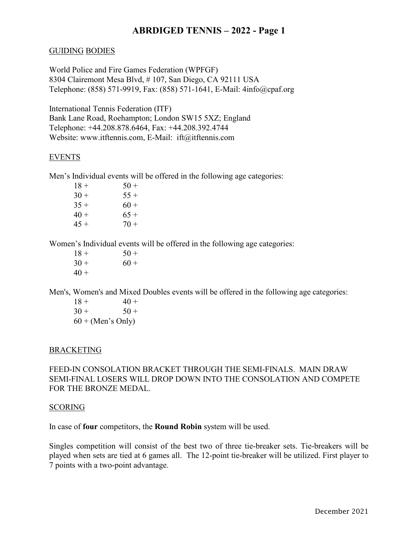## **ABRDIGED TENNIS – 2022 - Page 1**

### GUIDING BODIES

World Police and Fire Games Federation (WPFGF) 8304 Clairemont Mesa Blvd, # 107, San Diego, CA 92111 USA Telephone: (858) 571-9919, Fax: (858) 571-1641, E-Mail: 4info@cpaf.org

International Tennis Federation (ITF) Bank Lane Road, Roehampton; London SW15 5XZ; England Telephone: +44.208.878.6464, Fax: +44.208.392.4744 Website: [www.itftennis.com,](http://www.itftennis.com/) E-Mail: ift@itftennis.com

#### EVENTS

Men's Individual events will be offered in the following age categories:

| $50+$  |
|--------|
| $55+$  |
| $60 +$ |
| $65+$  |
| $70+$  |
|        |

Women's Individual events will be offered in the following age categories:

 $18 + 50 +$  $30 + 60 +$  $40 +$ 

Men's, Women's and Mixed Doubles events will be offered in the following age categories:

 $18 + 40 +$  $30 + 50 +$  $60 + (Men's Only)$ 

#### BRACKETING

FEED-IN CONSOLATION BRACKET THROUGH THE SEMI-FINALS. MAIN DRAW SEMI-FINAL LOSERS WILL DROP DOWN INTO THE CONSOLATION AND COMPETE FOR THE BRONZE MEDAL.

#### SCORING

In case of **four** competitors, the **Round Robin** system will be used.

Singles competition will consist of the best two of three tie-breaker sets. Tie-breakers will be played when sets are tied at 6 games all. The 12-point tie-breaker will be utilized. First player to 7 points with a two-point advantage.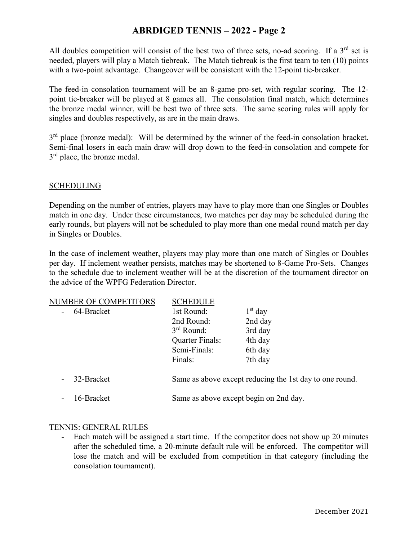## **ABRDIGED TENNIS – 2022 - Page 2**

All doubles competition will consist of the best two of three sets, no-ad scoring. If a  $3<sup>rd</sup>$  set is needed, players will play a Match tiebreak. The Match tiebreak is the first team to ten (10) points with a two-point advantage. Changeover will be consistent with the 12-point tie-breaker.

The feed-in consolation tournament will be an 8-game pro-set, with regular scoring. The 12 point tie-breaker will be played at 8 games all. The consolation final match, which determines the bronze medal winner, will be best two of three sets. The same scoring rules will apply for singles and doubles respectively, as are in the main draws.

3<sup>rd</sup> place (bronze medal): Will be determined by the winner of the feed-in consolation bracket. Semi-final losers in each main draw will drop down to the feed-in consolation and compete for 3<sup>rd</sup> place, the bronze medal.

### **SCHEDULING**

Depending on the number of entries, players may have to play more than one Singles or Doubles match in one day. Under these circumstances, two matches per day may be scheduled during the early rounds, but players will not be scheduled to play more than one medal round match per day in Singles or Doubles.

In the case of inclement weather, players may play more than one match of Singles or Doubles per day. If inclement weather persists, matches may be shortened to 8-Game Pro-Sets. Changes to the schedule due to inclement weather will be at the discretion of the tournament director on the advice of the WPFG Federation Director.

| NUMBER OF COMPETITORS | <b>SCHEDULE</b>                                         |           |  |
|-----------------------|---------------------------------------------------------|-----------|--|
| 64-Bracket            | 1st Round:                                              | $1st$ day |  |
|                       | 2nd Round:                                              | 2nd day   |  |
|                       | $3rd$ Round:                                            | 3rd day   |  |
|                       | Quarter Finals:                                         | 4th day   |  |
|                       | Semi-Finals:                                            | 6th day   |  |
|                       | Finals:                                                 | 7th day   |  |
| 32-Bracket            | Same as above except reducing the 1st day to one round. |           |  |
| 16-Bracket            | Same as above except begin on 2nd day.                  |           |  |

#### TENNIS: GENERAL RULES

- Each match will be assigned a start time. If the competitor does not show up 20 minutes after the scheduled time, a 20-minute default rule will be enforced. The competitor will lose the match and will be excluded from competition in that category (including the consolation tournament).